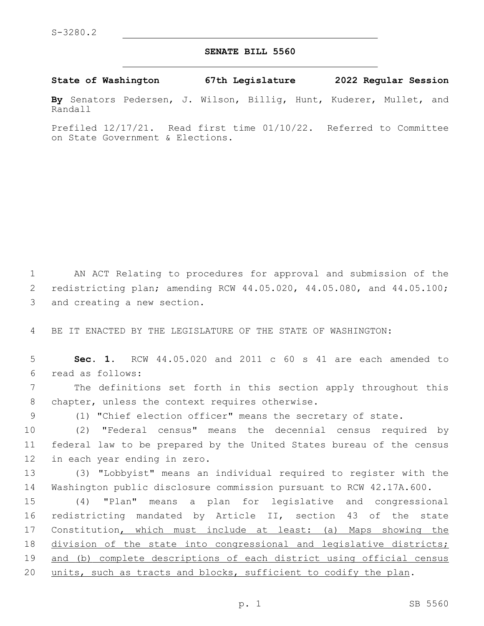## **SENATE BILL 5560**

**State of Washington 67th Legislature 2022 Regular Session**

**By** Senators Pedersen, J. Wilson, Billig, Hunt, Kuderer, Mullet, and Randall

Prefiled 12/17/21. Read first time 01/10/22. Referred to Committee on State Government & Elections.

1 AN ACT Relating to procedures for approval and submission of the 2 redistricting plan; amending RCW 44.05.020, 44.05.080, and 44.05.100; 3 and creating a new section.

4 BE IT ENACTED BY THE LEGISLATURE OF THE STATE OF WASHINGTON:

5 **Sec. 1.** RCW 44.05.020 and 2011 c 60 s 41 are each amended to read as follows:6

7 The definitions set forth in this section apply throughout this 8 chapter, unless the context requires otherwise.

9 (1) "Chief election officer" means the secretary of state.

10 (2) "Federal census" means the decennial census required by 11 federal law to be prepared by the United States bureau of the census 12 in each year ending in zero.

13 (3) "Lobbyist" means an individual required to register with the 14 Washington public disclosure commission pursuant to RCW 42.17A.600.

 (4) "Plan" means a plan for legislative and congressional redistricting mandated by Article II, section 43 of the state 17 Constitution, which must include at least: (a) Maps showing the division of the state into congressional and legislative districts; and (b) complete descriptions of each district using official census 20 units, such as tracts and blocks, sufficient to codify the plan.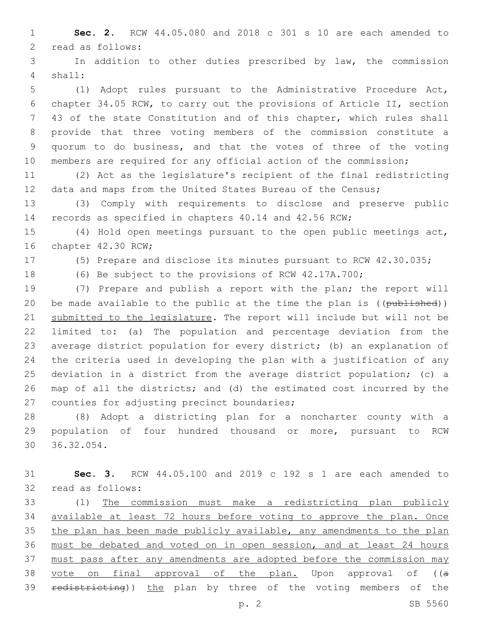**Sec. 2.** RCW 44.05.080 and 2018 c 301 s 10 are each amended to 2 read as follows:

 In addition to other duties prescribed by law, the commission shall:4

 (1) Adopt rules pursuant to the Administrative Procedure Act, chapter 34.05 RCW, to carry out the provisions of Article II, section 43 of the state Constitution and of this chapter, which rules shall provide that three voting members of the commission constitute a quorum to do business, and that the votes of three of the voting members are required for any official action of the commission;

 (2) Act as the legislature's recipient of the final redistricting 12 data and maps from the United States Bureau of the Census;

 (3) Comply with requirements to disclose and preserve public records as specified in chapters 40.14 and 42.56 RCW;

 (4) Hold open meetings pursuant to the open public meetings act, 16 chapter 42.30 RCW;

(5) Prepare and disclose its minutes pursuant to RCW 42.30.035;

(6) Be subject to the provisions of RCW 42.17A.700;

 (7) Prepare and publish a report with the plan; the report will 20 be made available to the public at the time the plan is ((published)) submitted to the legislature. The report will include but will not be limited to: (a) The population and percentage deviation from the average district population for every district; (b) an explanation of the criteria used in developing the plan with a justification of any deviation in a district from the average district population; (c) a map of all the districts; and (d) the estimated cost incurred by the 27 counties for adjusting precinct boundaries;

 (8) Adopt a districting plan for a noncharter county with a population of four hundred thousand or more, pursuant to RCW 30 36.32.054.

 **Sec. 3.** RCW 44.05.100 and 2019 c 192 s 1 are each amended to 32 read as follows:

 (1) The commission must make a redistricting plan publicly available at least 72 hours before voting to approve the plan. Once the plan has been made publicly available, any amendments to the plan must be debated and voted on in open session, and at least 24 hours must pass after any amendments are adopted before the commission may 38 vote on final approval of the plan. Upon approval of ((a 39 redistricting)) the plan by three of the voting members of the